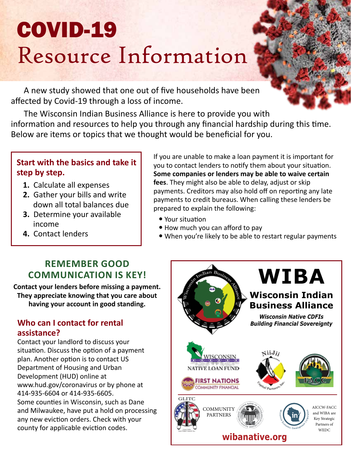# COVID-19 Resource Information

A new study showed that one out of five households have been affected by Covid-19 through a loss of income.

The Wisconsin Indian Business Alliance is here to provide you with information and resources to help you through any financial hardship during this time. Below are items or topics that we thought would be beneficial for you.

#### **Start with the basics and take it step by step.**

- **1.** Calculate all expenses
- **2.** Gather your bills and write down all total balances due
- **3.** Determine your available income
- **4.** Contact lenders

If you are unable to make a loan payment it is important for you to contact lenders to notify them about your situation. **Some companies or lenders may be able to waive certain fees**. They might also be able to delay, adjust or skip payments. Creditors may also hold off on reporting any late payments to credit bureaus. When calling these lenders be prepared to explain the following:

- Your situation
- How much you can afford to pay
- When you're likely to be able to restart regular payments

## **REMEMBER GOOD COMMUNICATION IS KEY!**

**Contact your lenders before missing a payment. They appreciate knowing that you care about having your account in good standing.** 

#### **Who can I contact for rental assistance?**

Contact your landlord to discuss your situation. Discuss the option of a payment plan. Another option is to contact US Department of Housing and Urban Development (HUD) online at www.hud.gov/coronavirus or by phone at 414-935-6604 or 414-935-6605. Some counties in Wisconsin, such as Dane and Milwaukee, have put a hold on processing any new eviction orders. Check with your county for applicable eviction codes.